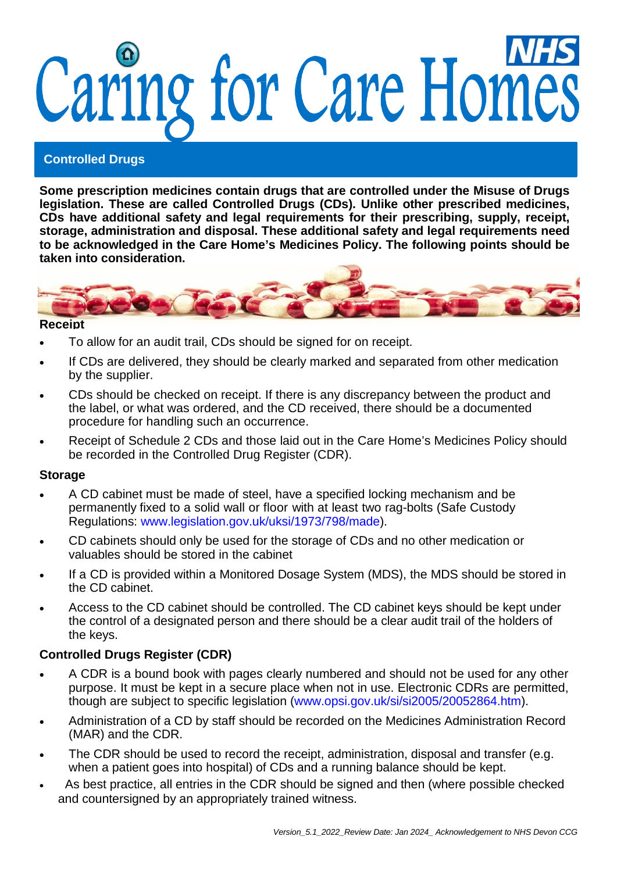# Caring for Care Homes

# **Controlled Drugs**

**Some prescription medicines contain drugs that are controlled under the Misuse of Drugs legislation. These are called Controlled Drugs (CDs). Unlike other prescribed medicines, CDs have additional safety and legal requirements for their prescribing, supply, receipt, storage, administration and disposal. These additional safety and legal requirements need to be acknowledged in the Care Home's Medicines Policy. The following points should be taken into consideration.**



#### **Receipt**

- To allow for an audit trail, CDs should be signed for on receipt.
- If CDs are delivered, they should be clearly marked and separated from other medication by the supplier.
- CDs should be checked on receipt. If there is any discrepancy between the product and the label, or what was ordered, and the CD received, there should be a documented procedure for handling such an occurrence.
- Receipt of Schedule 2 CDs and those laid out in the Care Home's Medicines Policy should be recorded in the Controlled Drug Register (CDR).

#### **Storage**

- A CD cabinet must be made of steel, have a specified locking mechanism and be permanently fixed to a solid wall or floor with at least two rag-bolts (Safe Custody Regulations: [www.legislation.gov.uk/uksi/1973/798/made\)](http://www.legislation.gov.uk/uksi/1973/798/made).
- CD cabinets should only be used for the storage of CDs and no other medication or valuables should be stored in the cabinet
- If a CD is provided within a Monitored Dosage System (MDS), the MDS should be stored in the CD cabinet.
- Access to the CD cabinet should be controlled. The CD cabinet keys should be kept under the control of a designated person and there should be a clear audit trail of the holders of the keys.

#### **Controlled Drugs Register (CDR)**

- A CDR is a bound book with pages clearly numbered and should not be used for any other purpose. It must be kept in a secure place when not in use. Electronic CDRs are permitted, though are subject to specific legislation [\(www.opsi.gov.uk/si/si2005/20052864.htm\)](http://www.opsi.gov.uk/si/si2005/20052864.htm).
- Administration of a CD by staff should be recorded on the Medicines Administration Record (MAR) and the CDR.
- The CDR should be used to record the receipt, administration, disposal and transfer (e.g. when a patient goes into hospital) of CDs and a running balance should be kept.
- As best practice, all entries in the CDR should be signed and then (where possible checked and countersigned by an appropriately trained witness.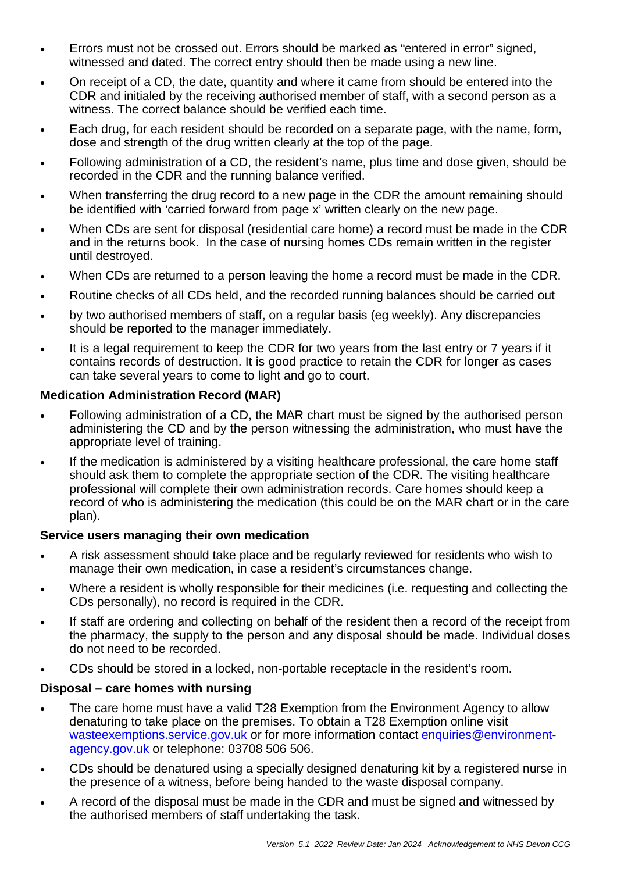- Errors must not be crossed out. Errors should be marked as "entered in error" signed, witnessed and dated. The correct entry should then be made using a new line.
- On receipt of a CD, the date, quantity and where it came from should be entered into the CDR and initialed by the receiving authorised member of staff, with a second person as a witness. The correct balance should be verified each time.
- Each drug, for each resident should be recorded on a separate page, with the name, form, dose and strength of the drug written clearly at the top of the page.
- Following administration of a CD, the resident's name, plus time and dose given, should be recorded in the CDR and the running balance verified.
- When transferring the drug record to a new page in the CDR the amount remaining should be identified with 'carried forward from page x' written clearly on the new page.
- When CDs are sent for disposal (residential care home) a record must be made in the CDR and in the returns book. In the case of nursing homes CDs remain written in the register until destroyed.
- When CDs are returned to a person leaving the home a record must be made in the CDR.
- Routine checks of all CDs held, and the recorded running balances should be carried out
- by two authorised members of staff, on a regular basis (eg weekly). Any discrepancies should be reported to the manager immediately.
- It is a legal requirement to keep the CDR for two years from the last entry or 7 years if it contains records of destruction. It is good practice to retain the CDR for longer as cases can take several years to come to light and go to court.

# **Medication Administration Record (MAR)**

- Following administration of a CD, the MAR chart must be signed by the authorised person administering the CD and by the person witnessing the administration, who must have the appropriate level of training.
- If the medication is administered by a visiting healthcare professional, the care home staff should ask them to complete the appropriate section of the CDR. The visiting healthcare professional will complete their own administration records. Care homes should keep a record of who is administering the medication (this could be on the MAR chart or in the care plan).

#### **Service users managing their own medication**

- A risk assessment should take place and be regularly reviewed for residents who wish to manage their own medication, in case a resident's circumstances change.
- Where a resident is wholly responsible for their medicines (i.e. requesting and collecting the CDs personally), no record is required in the CDR.
- If staff are ordering and collecting on behalf of the resident then a record of the receipt from the pharmacy, the supply to the person and any disposal should be made. Individual doses do not need to be recorded.
- CDs should be stored in a locked, non-portable receptacle in the resident's room.

#### **Disposal – care homes with nursing**

- The care home must have a valid T28 Exemption from the Environment Agency to allow denaturing to take place on the premises. To obtain a T28 Exemption online visit [wasteexemptions.service.gov.uk](https://wasteexemptions.service.gov.uk/) or for more information contact [enquiries@environment](mailto:enquiries@environment-agency.gov.uk)[agency.gov.uk](mailto:enquiries@environment-agency.gov.uk) or telephone: 03708 506 506.
- CDs should be denatured using a specially designed denaturing kit by a registered nurse in the presence of a witness, before being handed to the waste disposal company.
- A record of the disposal must be made in the CDR and must be signed and witnessed by the authorised members of staff undertaking the task.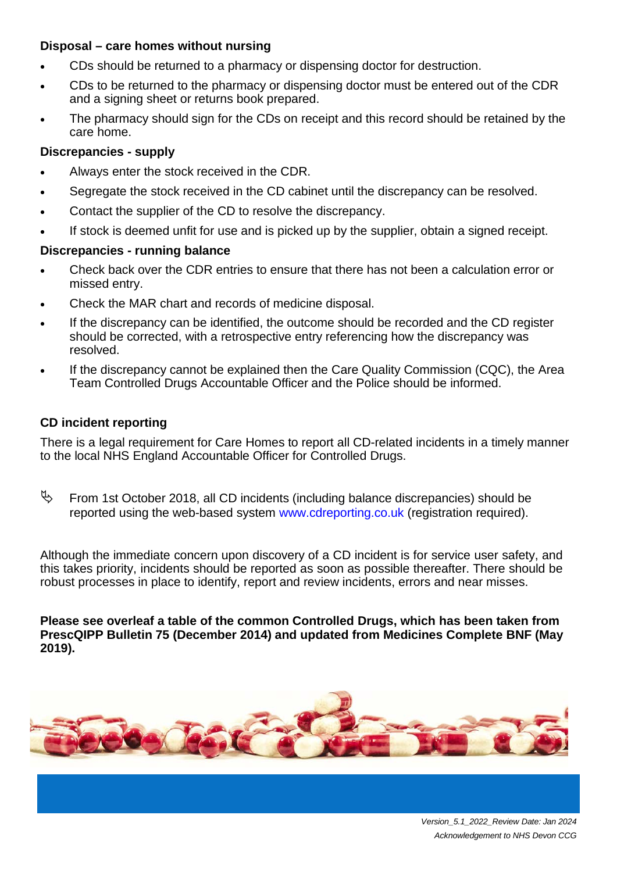#### **Disposal – care homes without nursing**

- CDs should be returned to a pharmacy or dispensing doctor for destruction.
- CDs to be returned to the pharmacy or dispensing doctor must be entered out of the CDR and a signing sheet or returns book prepared.
- The pharmacy should sign for the CDs on receipt and this record should be retained by the care home.

# **Discrepancies - supply**

- Always enter the stock received in the CDR.
- Segregate the stock received in the CD cabinet until the discrepancy can be resolved.
- Contact the supplier of the CD to resolve the discrepancy.
- If stock is deemed unfit for use and is picked up by the supplier, obtain a signed receipt.

# **Discrepancies - running balance**

- Check back over the CDR entries to ensure that there has not been a calculation error or missed entry.
- Check the MAR chart and records of medicine disposal.
- If the discrepancy can be identified, the outcome should be recorded and the CD register should be corrected, with a retrospective entry referencing how the discrepancy was resolved.
- If the discrepancy cannot be explained then the Care Quality Commission (CQC), the Area Team Controlled Drugs Accountable Officer and the Police should be informed.

# **CD incident reporting**

There is a legal requirement for Care Homes to report all CD-related incidents in a timely manner to the local NHS England Accountable Officer for Controlled Drugs.

 $\%$  From 1st October 2018, all CD incidents (including balance discrepancies) should be reported using the web-based system [www.cdreporting.co.uk](http://www.cdreporting.co.uk/) (registration required).

Although the immediate concern upon discovery of a CD incident is for service user safety, and this takes priority, incidents should be reported as soon as possible thereafter. There should be robust processes in place to identify, report and review incidents, errors and near misses.

**Please see overleaf a table of the common Controlled Drugs, which has been taken from PrescQIPP Bulletin 75 (December 2014) and updated from Medicines Complete BNF (May 2019).**